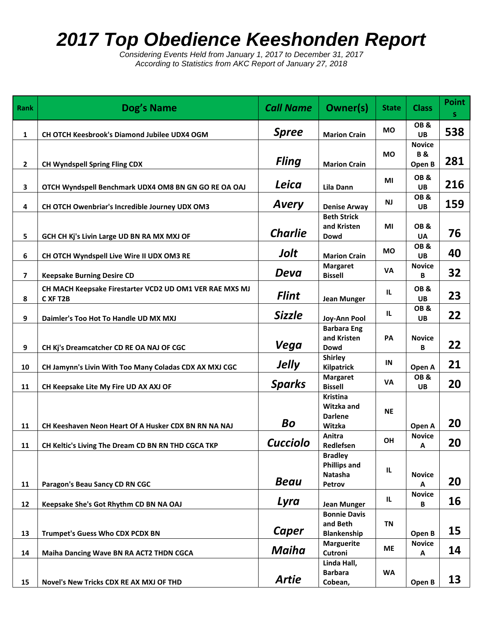## *2017 Top Obedience Keeshonden Report*

*Considering Events Held from January 1, 2017 to December 31, 2017 According to Statistics from AKC Report of January 27, 2018*

| <b>Rank</b>             | Dog's Name                                                          | <b>Call Name</b> | Owner(s)                                                   | <b>State</b> | <b>Class</b>                             | <b>Point</b><br>S. |
|-------------------------|---------------------------------------------------------------------|------------------|------------------------------------------------------------|--------------|------------------------------------------|--------------------|
| 1                       | CH OTCH Keesbrook's Diamond Jubilee UDX4 OGM                        | <b>Spree</b>     | <b>Marion Crain</b>                                        | <b>MO</b>    | OB&<br>UB                                | 538                |
| $\mathbf{2}$            | <b>CH Wyndspell Spring Fling CDX</b>                                | <b>Fling</b>     | <b>Marion Crain</b>                                        | МO           | <b>Novice</b><br><b>B&amp;</b><br>Open B | 281                |
| 3                       | OTCH Wyndspell Benchmark UDX4 OM8 BN GN GO RE OA OAJ                | Leica            | <b>Lila Dann</b>                                           | ΜI           | OB&<br>UB                                | 216                |
| 4                       | CH OTCH Owenbriar's Incredible Journey UDX OM3                      | <b>Avery</b>     | <b>Denise Arway</b>                                        | <b>NJ</b>    | OB&<br>UB                                | 159                |
| 5                       | GCH CH Kj's Livin Large UD BN RA MX MXJ OF                          | <b>Charlie</b>   | <b>Beth Strick</b><br>and Kristen<br>Dowd                  | MI           | OB&<br><b>UA</b>                         | 76                 |
| 6                       | CH OTCH Wyndspell Live Wire II UDX OM3 RE                           | Jolt             | <b>Marion Crain</b>                                        | МO           | OB&<br><b>UB</b>                         | 40                 |
| $\overline{\mathbf{z}}$ | <b>Keepsake Burning Desire CD</b>                                   | Deva             | <b>Margaret</b><br><b>Bissell</b>                          | VA           | <b>Novice</b><br>B                       | 32                 |
| 8                       | CH MACH Keepsake Firestarter VCD2 UD OM1 VER RAE MXS MJ<br>C XF T2B | <b>Flint</b>     | <b>Jean Munger</b>                                         | IL.          | OB&<br><b>UB</b>                         | 23                 |
| 9                       | Daimler's Too Hot To Handle UD MX MXJ                               | <b>Sizzle</b>    | Joy-Ann Pool                                               | IL.          | OB&<br>UB                                | 22                 |
| 9                       | CH Kj's Dreamcatcher CD RE OA NAJ OF CGC                            | Vega             | <b>Barbara Eng</b><br>and Kristen<br>Dowd                  | PA           | <b>Novice</b><br>В                       | 22                 |
| 10                      | CH Jamynn's Livin With Too Many Coladas CDX AX MXJ CGC              | <b>Jelly</b>     | <b>Shirley</b><br><b>Kilpatrick</b>                        | IN           | Open A                                   | 21                 |
| 11                      | CH Keepsake Lite My Fire UD AX AXJ OF                               | <b>Sparks</b>    | <b>Margaret</b><br><b>Bissell</b>                          | <b>VA</b>    | OB&<br><b>UB</b>                         | 20                 |
| 11                      | CH Keeshaven Neon Heart Of A Husker CDX BN RN NA NAJ                | Bo               | <b>Kristina</b><br>Witzka and<br><b>Darlene</b><br>Witzka  | <b>NE</b>    | Open A                                   | 20                 |
| 11                      | CH Keltic's Living The Dream CD BN RN THD CGCA TKP                  | <b>Cucciolo</b>  | Anitra<br>Redlefsen                                        | OH           | <b>Novice</b><br>Α                       | 20                 |
| 11                      | Paragon's Beau Sancy CD RN CGC                                      | <b>Beau</b>      | <b>Bradley</b><br><b>Phillips and</b><br>Natasha<br>Petrov | IL           | <b>Novice</b><br>A                       | 20                 |
| 12                      | Keepsake She's Got Rhythm CD BN NA OAJ                              | Lyra             | <b>Jean Munger</b>                                         | IL.          | <b>Novice</b><br>B                       | 16                 |
| 13                      | Trumpet's Guess Who CDX PCDX BN                                     | <b>Caper</b>     | <b>Bonnie Davis</b><br>and Beth<br><b>Blankenship</b>      | <b>TN</b>    | Open B                                   | 15                 |
| 14                      | Maiha Dancing Wave BN RA ACT2 THDN CGCA                             | Maiha            | <b>Marguerite</b><br>Cutroni                               | <b>ME</b>    | <b>Novice</b><br>A                       | 14                 |
| 15                      | Novel's New Tricks CDX RE AX MXJ OF THD                             | <b>Artie</b>     | Linda Hall,<br><b>Barbara</b><br>Cobean,                   | <b>WA</b>    | Open B                                   | 13                 |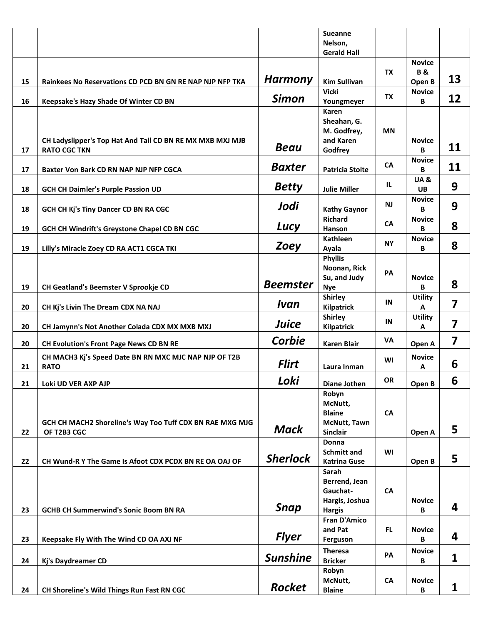|    |                                                           |                 | <b>Sueanne</b><br>Nelson,<br><b>Gerald Hall</b> |           |                                |                         |
|----|-----------------------------------------------------------|-----------------|-------------------------------------------------|-----------|--------------------------------|-------------------------|
|    |                                                           |                 |                                                 | <b>TX</b> | <b>Novice</b><br><b>B&amp;</b> |                         |
| 15 | Rainkees No Reservations CD PCD BN GN RE NAP NJP NFP TKA  | <b>Harmony</b>  | <b>Kim Sullivan</b>                             |           | Open B                         | 13                      |
| 16 | Keepsake's Hazy Shade Of Winter CD BN                     | <b>Simon</b>    | <b>Vicki</b><br>Youngmeyer                      | TX        | <b>Novice</b><br>B             | 12                      |
|    |                                                           |                 | Karen                                           |           |                                |                         |
|    |                                                           |                 | Sheahan, G.<br>M. Godfrey,                      | <b>MN</b> |                                |                         |
|    | CH Ladyslipper's Top Hat And Tail CD BN RE MX MXB MXJ MJB | <b>Beau</b>     | and Karen                                       |           | <b>Novice</b>                  | 11                      |
| 17 | <b>RATO CGC TKN</b>                                       |                 | Godfrey                                         |           | B<br><b>Novice</b>             |                         |
| 17 | Baxter Von Bark CD RN NAP NJP NFP CGCA                    | <b>Baxter</b>   | <b>Patricia Stolte</b>                          | <b>CA</b> | B                              | 11                      |
| 18 | <b>GCH CH Daimler's Purple Passion UD</b>                 | <b>Betty</b>    | <b>Julie Miller</b>                             | IL.       | <b>UA&amp;</b><br><b>UB</b>    | 9                       |
| 18 | GCH CH Kj's Tiny Dancer CD BN RA CGC                      | Jodi            | <b>Kathy Gaynor</b>                             | <b>NJ</b> | <b>Novice</b><br>B             | 9                       |
| 19 | GCH CH Windrift's Greystone Chapel CD BN CGC              | Lucy            | <b>Richard</b><br>Hanson                        | <b>CA</b> | <b>Novice</b><br>B             | 8                       |
| 19 | Lilly's Miracle Zoey CD RA ACT1 CGCA TKI                  | <b>Zoey</b>     | Kathleen<br>Ayala                               | <b>NY</b> | <b>Novice</b><br>В             | 8                       |
|    |                                                           |                 | <b>Phyllis</b>                                  |           |                                |                         |
|    |                                                           |                 | Noonan, Rick<br>Su, and Judy                    | PA        | <b>Novice</b>                  |                         |
| 19 | CH Geatland's Beemster V Sprookje CD                      | <b>Beemster</b> | <b>Nye</b>                                      |           | B                              | 8                       |
| 20 | CH Kj's Livin The Dream CDX NA NAJ                        | Ivan            | <b>Shirley</b><br><b>Kilpatrick</b>             | IN        | <b>Utility</b><br>A            | $\overline{\mathbf{z}}$ |
| 20 | CH Jamynn's Not Another Colada CDX MX MXB MXJ             | Juice           | <b>Shirley</b><br><b>Kilpatrick</b>             | IN        | <b>Utility</b><br>Α            | 7                       |
| 20 | <b>CH Evolution's Front Page News CD BN RE</b>            | Corbie          | <b>Karen Blair</b>                              | VA        | Open A                         | $\overline{\mathbf{z}}$ |
|    | CH MACH3 Kj's Speed Date BN RN MXC MJC NAP NJP OF T2B     | <b>Flirt</b>    |                                                 | WI        | <b>Novice</b>                  |                         |
| 21 | <b>RATO</b>                                               |                 | Laura Inman                                     |           | Α                              | 6                       |
| 21 | Loki UD VER AXP AJP                                       | Loki            | <b>Diane Jothen</b><br>Robyn                    | OR        | Open B                         | 6                       |
|    |                                                           |                 | McNutt,                                         |           |                                |                         |
|    | GCH CH MACH2 Shoreline's Way Too Tuff CDX BN RAE MXG MJG  |                 | <b>Blaine</b><br><b>McNutt, Tawn</b>            | CA        |                                |                         |
| 22 | OF T2B3 CGC                                               | <b>Mack</b>     | <b>Sinclair</b>                                 |           | Open A                         | 5                       |
|    |                                                           |                 | Donna<br><b>Schmitt and</b>                     | WI        |                                |                         |
| 22 | CH Wund-R Y The Game Is Afoot CDX PCDX BN RE OA OAJ OF    | <b>Sherlock</b> | <b>Katrina Guse</b>                             |           | Open B                         | 5                       |
|    |                                                           |                 | Sarah<br>Berrend, Jean                          |           |                                |                         |
|    |                                                           |                 | Gauchat-<br>Hargis, Joshua                      | CA        |                                |                         |
| 23 | <b>GCHB CH Summerwind's Sonic Boom BN RA</b>              | <b>Snap</b>     | <b>Hargis</b>                                   |           | <b>Novice</b><br>В             | 4                       |
|    |                                                           |                 | <b>Fran D'Amico</b><br>and Pat                  | FL.       | <b>Novice</b>                  |                         |
| 23 | Keepsake Fly With The Wind CD OA AXJ NF                   | <b>Flyer</b>    | Ferguson                                        |           | В                              | 4                       |
| 24 | Kj's Daydreamer CD                                        | <b>Sunshine</b> | <b>Theresa</b><br><b>Bricker</b>                | PA        | <b>Novice</b><br>В             | 1                       |
|    |                                                           |                 | Robyn                                           |           |                                |                         |
| 24 | CH Shoreline's Wild Things Run Fast RN CGC                | Rocket          | McNutt,<br><b>Blaine</b>                        | <b>CA</b> | <b>Novice</b><br>B             | 1                       |